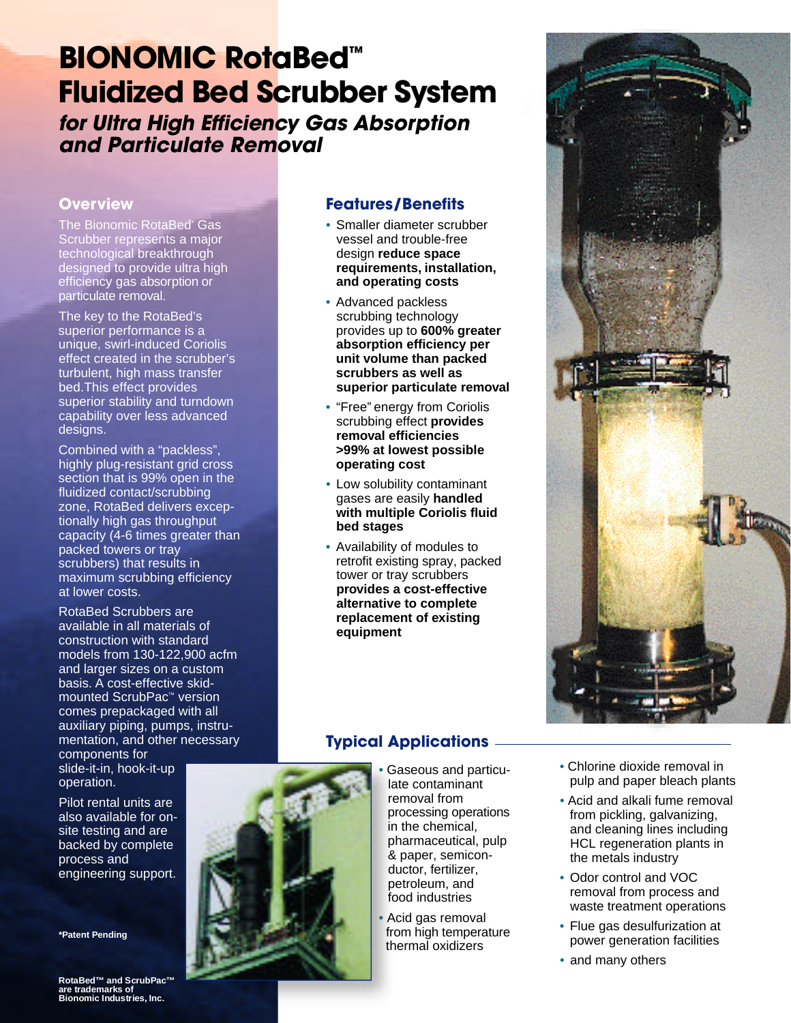# **BIONOMIC RotaBed™ Fluidized Bed Scrubber System**

*for Ultra High Efficiency Gas Absorption and Particulate Removal*

### **Overview**

The Bionomic RotaBed<sup>\*</sup> Gas Scrubber represents a major technological breakthrough designed to provide ultra high efficiency gas absorption or particulate removal.

The key to the RotaBed's superior performance is a unique, swirl-induced Coriolis effect created in the scrubber's turbulent, high mass transfer bed.This effect provides superior stability and turndown capability over less advanced designs.

Combined with a "packless", highly plug-resistant grid cross section that is 99% open in the fluidized contact/scrubbing zone, RotaBed delivers exceptionally high gas throughput capacity (4-6 times greater than packed towers or tray scrubbers) that results in maximum scrubbing efficiency at lower costs.

RotaBed Scrubbers are available in all materials of construction with standard models from 130-122,900 acfm and larger sizes on a custom basis. A cost-effective skidmounted ScrubPac™ version comes prepackaged with all auxiliary piping, pumps, instrumentation, and other necessary

components for slide-it-in, hook-it-up operation.

Pilot rental units are also available for onsite testing and are backed by complete process and engineering support.

**\*Patent Pending**

**RotaBed™ and ScrubPac™**  are trademarks of<br>Bionomic Industries, Inc.

## **Features/Benefits**

- Smaller diameter scrubber vessel and trouble-free design **reduce space requirements, installation, and operating costs**
- Advanced packless scrubbing technology provides up to **600% greater absorption efficiency per unit volume than packed scrubbers as well as superior particulate removal**
- "Free" energy from Coriolis scrubbing effect **provides removal efficiencies >99% at lowest possible operating cost**
- Low solubility contaminant gases are easily **handled with multiple Coriolis fluid bed stages**
- Availability of modules to retrofit existing spray, packed tower or tray scrubbers **provides a cost-effective alternative to complete replacement of existing equipment**



# **Typical Applications**

- Gaseous and particulate contaminant removal from processing operations in the chemical, pharmaceutical, pulp & paper, semiconductor, fertilizer, petroleum, and food industries
- Acid gas removal from high temperature thermal oxidizers
- Chlorine dioxide removal in pulp and paper bleach plants
- Acid and alkali fume removal from pickling, galvanizing, and cleaning lines including HCL regeneration plants in the metals industry
- Odor control and VOC removal from process and waste treatment operations
- Flue gas desulfurization at power generation facilities
- and many others